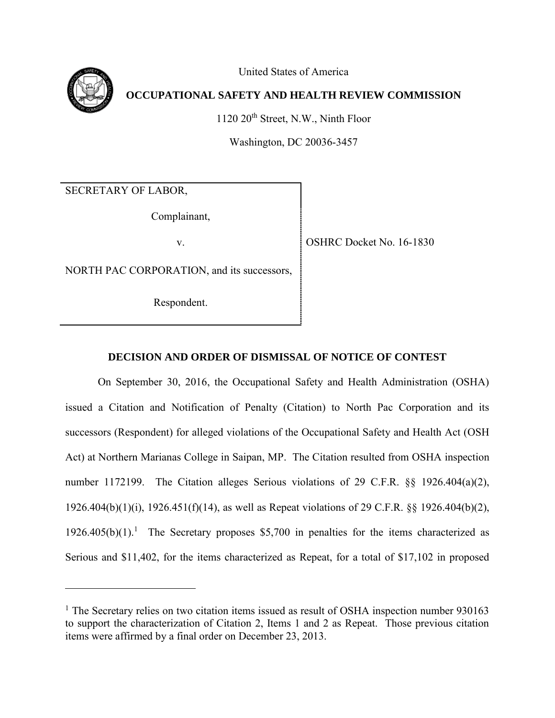

 $\overline{a}$ 

United States of America

## **OCCUPATIONAL SAFETY AND HEALTH REVIEW COMMISSION**

1120 20<sup>th</sup> Street, N.W., Ninth Floor

Washington, DC 20036-3457

SECRETARY OF LABOR,

Complainant,

v. **OSHRC Docket No. 16-1830** 

NORTH PAC CORPORATION, and its successors,

Respondent.

**DECISION AND ORDER OF DISMISSAL OF NOTICE OF CONTEST**

On September 30, 2016, the Occupational Safety and Health Administration (OSHA) issued a Citation and Notification of Penalty (Citation) to North Pac Corporation and its successors (Respondent) for alleged violations of the Occupational Safety and Health Act (OSH Act) at Northern Marianas College in Saipan, MP. The Citation resulted from OSHA inspection number 1172199. The Citation alleges Serious violations of 29 C.F.R. §§ 1926.404(a)(2), 1926.404(b)(1)(i), 1926.451(f)(14), as well as Repeat violations of 29 C.F.R. §§ 1926.404(b)(2),  $1926.405(b)(1).$ <sup>1</sup> The Secretary proposes \$5,700 in penalties for the items characterized as Serious and \$11,402, for the items characterized as Repeat, for a total of \$17,102 in proposed

 $<sup>1</sup>$  The Secretary relies on two citation items issued as result of OSHA inspection number 930163</sup> to support the characterization of Citation 2, Items 1 and 2 as Repeat. Those previous citation items were affirmed by a final order on December 23, 2013.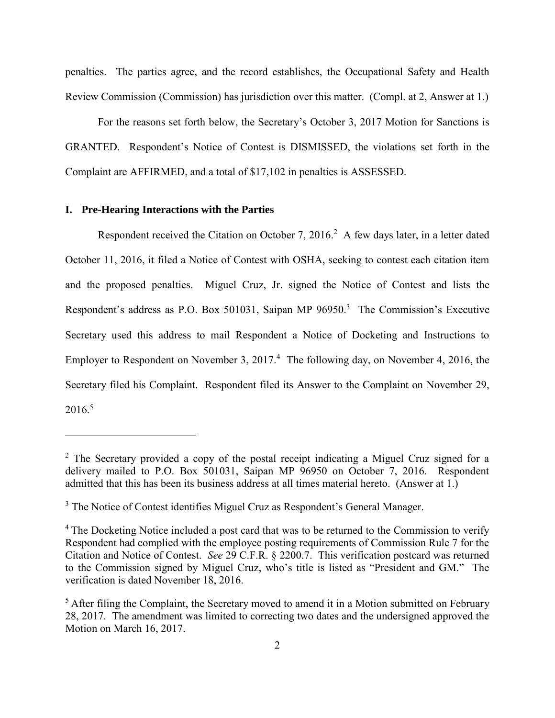penalties. The parties agree, and the record establishes, the Occupational Safety and Health Review Commission (Commission) has jurisdiction over this matter. (Compl. at 2, Answer at 1.)

For the reasons set forth below, the Secretary's October 3, 2017 Motion for Sanctions is GRANTED. Respondent's Notice of Contest is DISMISSED, the violations set forth in the Complaint are AFFIRMED, and a total of \$17,102 in penalties is ASSESSED.

## **I. Pre-Hearing Interactions with the Parties**

 $\overline{a}$ 

Respondent received the Citation on October 7, 2016.<sup>2</sup> A few days later, in a letter dated October 11, 2016, it filed a Notice of Contest with OSHA, seeking to contest each citation item and the proposed penalties. Miguel Cruz, Jr. signed the Notice of Contest and lists the Respondent's address as P.O. Box 501031, Saipan MP 96950.<sup>3</sup> The Commission's Executive Secretary used this address to mail Respondent a Notice of Docketing and Instructions to Employer to Respondent on November 3, 2017.<sup>4</sup> The following day, on November 4, 2016, the Secretary filed his Complaint. Respondent filed its Answer to the Complaint on November 29,  $2016.<sup>5</sup>$ 

<sup>&</sup>lt;sup>2</sup> The Secretary provided a copy of the postal receipt indicating a Miguel Cruz signed for a delivery mailed to P.O. Box 501031, Saipan MP 96950 on October 7, 2016. Respondent admitted that this has been its business address at all times material hereto. (Answer at 1.)

<sup>&</sup>lt;sup>3</sup> The Notice of Contest identifies Miguel Cruz as Respondent's General Manager.

<sup>&</sup>lt;sup>4</sup> The Docketing Notice included a post card that was to be returned to the Commission to verify Respondent had complied with the employee posting requirements of Commission Rule 7 for the Citation and Notice of Contest. *See* 29 C.F.R. § 2200.7. This verification postcard was returned to the Commission signed by Miguel Cruz, who's title is listed as "President and GM." The verification is dated November 18, 2016.

 $<sup>5</sup>$  After filing the Complaint, the Secretary moved to amend it in a Motion submitted on February</sup> 28, 2017. The amendment was limited to correcting two dates and the undersigned approved the Motion on March 16, 2017.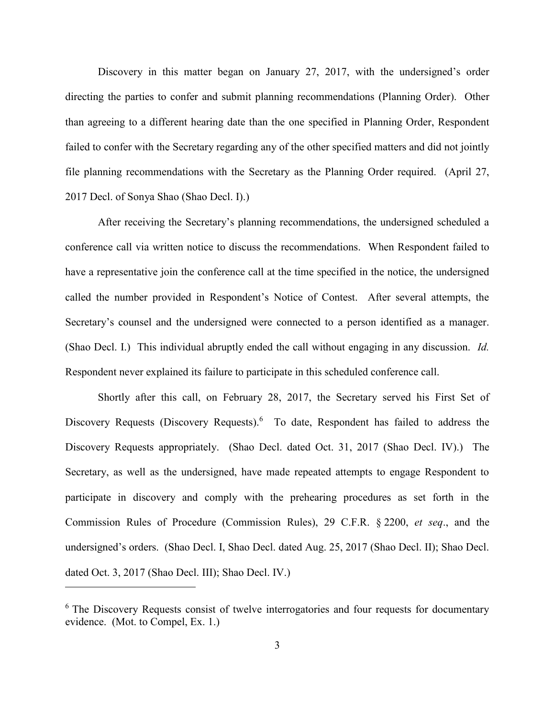Discovery in this matter began on January 27, 2017, with the undersigned's order directing the parties to confer and submit planning recommendations (Planning Order). Other than agreeing to a different hearing date than the one specified in Planning Order, Respondent failed to confer with the Secretary regarding any of the other specified matters and did not jointly file planning recommendations with the Secretary as the Planning Order required. (April 27, 2017 Decl. of Sonya Shao (Shao Decl. I).)

After receiving the Secretary's planning recommendations, the undersigned scheduled a conference call via written notice to discuss the recommendations. When Respondent failed to have a representative join the conference call at the time specified in the notice, the undersigned called the number provided in Respondent's Notice of Contest. After several attempts, the Secretary's counsel and the undersigned were connected to a person identified as a manager. (Shao Decl. I.) This individual abruptly ended the call without engaging in any discussion. *Id.*  Respondent never explained its failure to participate in this scheduled conference call.

Shortly after this call, on February 28, 2017, the Secretary served his First Set of Discovery Requests (Discovery Requests).<sup>6</sup> To date, Respondent has failed to address the Discovery Requests appropriately. (Shao Decl. dated Oct. 31, 2017 (Shao Decl. IV).) The Secretary, as well as the undersigned, have made repeated attempts to engage Respondent to participate in discovery and comply with the prehearing procedures as set forth in the Commission Rules of Procedure (Commission Rules), 29 C.F.R. § 2200, *et seq*., and the undersigned's orders. (Shao Decl. I, Shao Decl. dated Aug. 25, 2017 (Shao Decl. II); Shao Decl. dated Oct. 3, 2017 (Shao Decl. III); Shao Decl. IV.)

<sup>&</sup>lt;sup>6</sup> The Discovery Requests consist of twelve interrogatories and four requests for documentary evidence. (Mot. to Compel, Ex. 1.)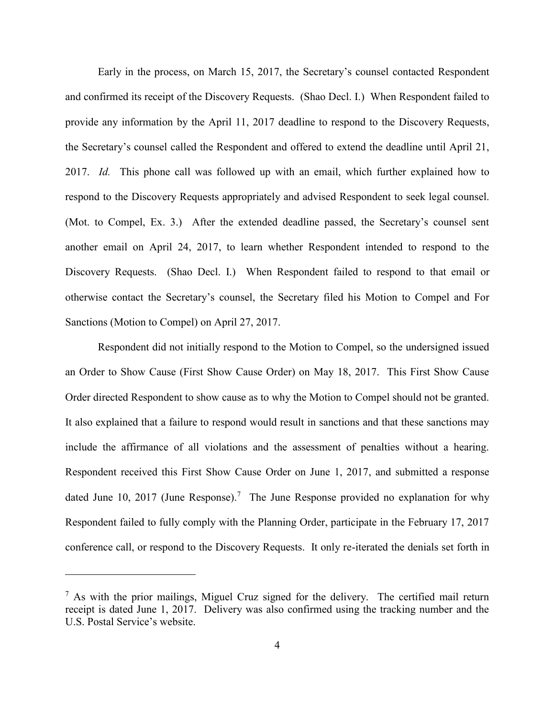Early in the process, on March 15, 2017, the Secretary's counsel contacted Respondent and confirmed its receipt of the Discovery Requests. (Shao Decl. I.) When Respondent failed to provide any information by the April 11, 2017 deadline to respond to the Discovery Requests, the Secretary's counsel called the Respondent and offered to extend the deadline until April 21, 2017. *Id.* This phone call was followed up with an email, which further explained how to respond to the Discovery Requests appropriately and advised Respondent to seek legal counsel. (Mot. to Compel, Ex. 3.) After the extended deadline passed, the Secretary's counsel sent another email on April 24, 2017, to learn whether Respondent intended to respond to the Discovery Requests. (Shao Decl. I.) When Respondent failed to respond to that email or otherwise contact the Secretary's counsel, the Secretary filed his Motion to Compel and For Sanctions (Motion to Compel) on April 27, 2017.

Respondent did not initially respond to the Motion to Compel, so the undersigned issued an Order to Show Cause (First Show Cause Order) on May 18, 2017. This First Show Cause Order directed Respondent to show cause as to why the Motion to Compel should not be granted. It also explained that a failure to respond would result in sanctions and that these sanctions may include the affirmance of all violations and the assessment of penalties without a hearing. Respondent received this First Show Cause Order on June 1, 2017, and submitted a response dated June 10, 2017 (June Response).<sup>7</sup> The June Response provided no explanation for why Respondent failed to fully comply with the Planning Order, participate in the February 17, 2017 conference call, or respond to the Discovery Requests. It only re-iterated the denials set forth in

 $<sup>7</sup>$  As with the prior mailings, Miguel Cruz signed for the delivery. The certified mail return</sup> receipt is dated June 1, 2017. Delivery was also confirmed using the tracking number and the U.S. Postal Service's website.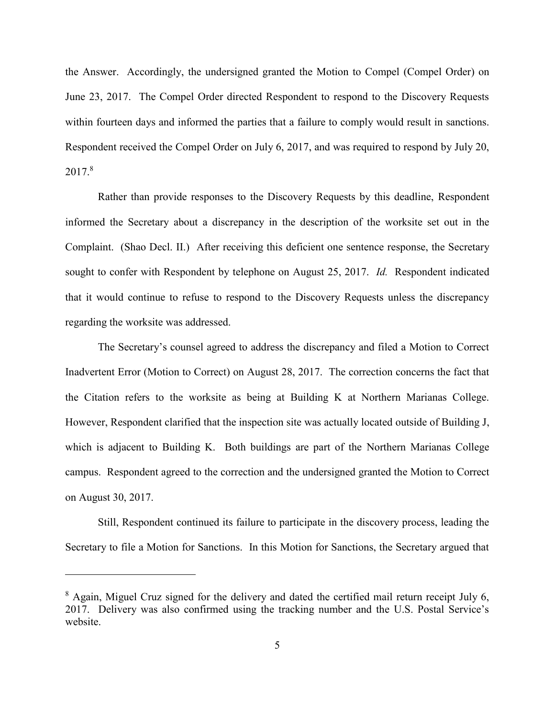the Answer. Accordingly, the undersigned granted the Motion to Compel (Compel Order) on June 23, 2017. The Compel Order directed Respondent to respond to the Discovery Requests within fourteen days and informed the parties that a failure to comply would result in sanctions. Respondent received the Compel Order on July 6, 2017, and was required to respond by July 20, 2017. 8

Rather than provide responses to the Discovery Requests by this deadline, Respondent informed the Secretary about a discrepancy in the description of the worksite set out in the Complaint. (Shao Decl. II.) After receiving this deficient one sentence response, the Secretary sought to confer with Respondent by telephone on August 25, 2017. *Id.* Respondent indicated that it would continue to refuse to respond to the Discovery Requests unless the discrepancy regarding the worksite was addressed.

The Secretary's counsel agreed to address the discrepancy and filed a Motion to Correct Inadvertent Error (Motion to Correct) on August 28, 2017. The correction concerns the fact that the Citation refers to the worksite as being at Building K at Northern Marianas College. However, Respondent clarified that the inspection site was actually located outside of Building J, which is adjacent to Building K. Both buildings are part of the Northern Marianas College campus. Respondent agreed to the correction and the undersigned granted the Motion to Correct on August 30, 2017.

Still, Respondent continued its failure to participate in the discovery process, leading the Secretary to file a Motion for Sanctions. In this Motion for Sanctions, the Secretary argued that

<sup>&</sup>lt;sup>8</sup> Again, Miguel Cruz signed for the delivery and dated the certified mail return receipt July 6, 2017. Delivery was also confirmed using the tracking number and the U.S. Postal Service's website.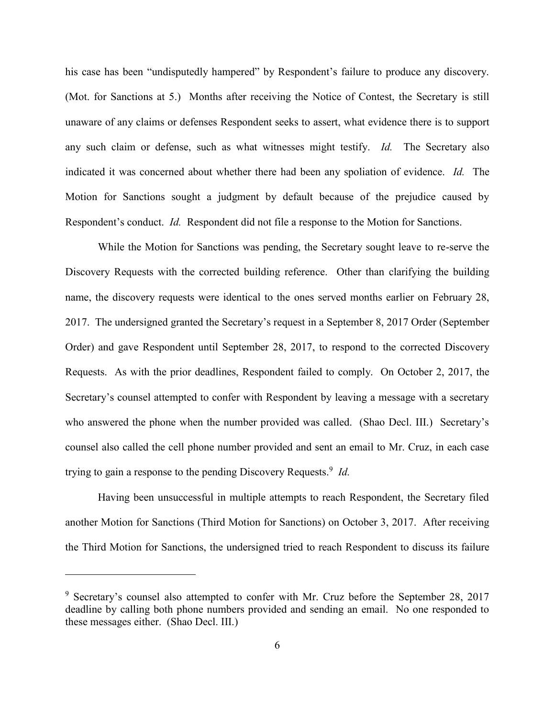his case has been "undisputedly hampered" by Respondent's failure to produce any discovery. (Mot. for Sanctions at 5.) Months after receiving the Notice of Contest, the Secretary is still unaware of any claims or defenses Respondent seeks to assert, what evidence there is to support any such claim or defense, such as what witnesses might testify. *Id.* The Secretary also indicated it was concerned about whether there had been any spoliation of evidence. *Id.* The Motion for Sanctions sought a judgment by default because of the prejudice caused by Respondent's conduct. *Id.* Respondent did not file a response to the Motion for Sanctions.

While the Motion for Sanctions was pending, the Secretary sought leave to re-serve the Discovery Requests with the corrected building reference. Other than clarifying the building name, the discovery requests were identical to the ones served months earlier on February 28, 2017. The undersigned granted the Secretary's request in a September 8, 2017 Order (September Order) and gave Respondent until September 28, 2017, to respond to the corrected Discovery Requests. As with the prior deadlines, Respondent failed to comply. On October 2, 2017, the Secretary's counsel attempted to confer with Respondent by leaving a message with a secretary who answered the phone when the number provided was called. (Shao Decl. III.) Secretary's counsel also called the cell phone number provided and sent an email to Mr. Cruz, in each case trying to gain a response to the pending Discovery Requests.<sup>9</sup> Id.

Having been unsuccessful in multiple attempts to reach Respondent, the Secretary filed another Motion for Sanctions (Third Motion for Sanctions) on October 3, 2017. After receiving the Third Motion for Sanctions, the undersigned tried to reach Respondent to discuss its failure

<sup>9</sup> Secretary's counsel also attempted to confer with Mr. Cruz before the September 28, 2017 deadline by calling both phone numbers provided and sending an email. No one responded to these messages either. (Shao Decl. III.)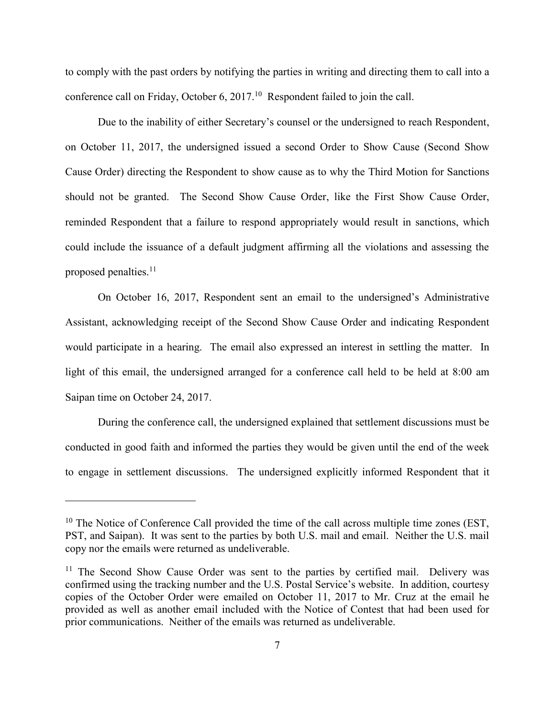to comply with the past orders by notifying the parties in writing and directing them to call into a conference call on Friday, October  $6, 2017$ .<sup>10</sup> Respondent failed to join the call.

Due to the inability of either Secretary's counsel or the undersigned to reach Respondent, on October 11, 2017, the undersigned issued a second Order to Show Cause (Second Show Cause Order) directing the Respondent to show cause as to why the Third Motion for Sanctions should not be granted. The Second Show Cause Order, like the First Show Cause Order, reminded Respondent that a failure to respond appropriately would result in sanctions, which could include the issuance of a default judgment affirming all the violations and assessing the proposed penalties.<sup>11</sup>

On October 16, 2017, Respondent sent an email to the undersigned's Administrative Assistant, acknowledging receipt of the Second Show Cause Order and indicating Respondent would participate in a hearing. The email also expressed an interest in settling the matter. In light of this email, the undersigned arranged for a conference call held to be held at 8:00 am Saipan time on October 24, 2017.

During the conference call, the undersigned explained that settlement discussions must be conducted in good faith and informed the parties they would be given until the end of the week to engage in settlement discussions. The undersigned explicitly informed Respondent that it

 $10$  The Notice of Conference Call provided the time of the call across multiple time zones (EST, PST, and Saipan). It was sent to the parties by both U.S. mail and email. Neither the U.S. mail copy nor the emails were returned as undeliverable.

<sup>&</sup>lt;sup>11</sup> The Second Show Cause Order was sent to the parties by certified mail. Delivery was confirmed using the tracking number and the U.S. Postal Service's website. In addition, courtesy copies of the October Order were emailed on October 11, 2017 to Mr. Cruz at the email he provided as well as another email included with the Notice of Contest that had been used for prior communications. Neither of the emails was returned as undeliverable.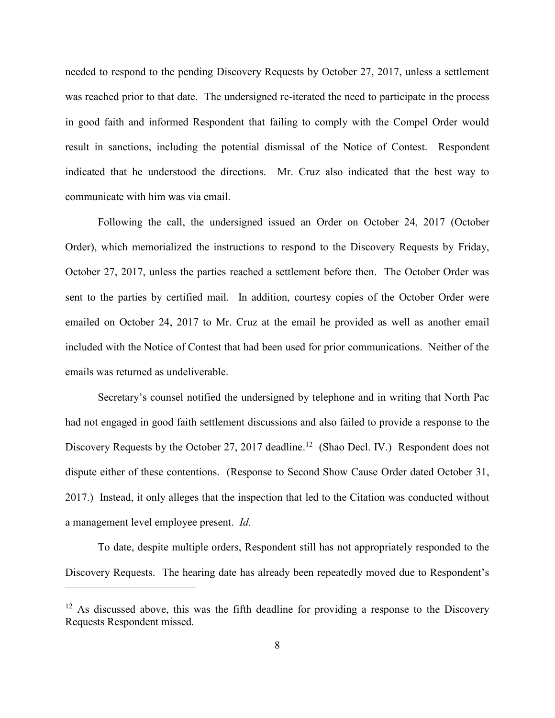needed to respond to the pending Discovery Requests by October 27, 2017, unless a settlement was reached prior to that date. The undersigned re-iterated the need to participate in the process in good faith and informed Respondent that failing to comply with the Compel Order would result in sanctions, including the potential dismissal of the Notice of Contest. Respondent indicated that he understood the directions. Mr. Cruz also indicated that the best way to communicate with him was via email.

Following the call, the undersigned issued an Order on October 24, 2017 (October Order), which memorialized the instructions to respond to the Discovery Requests by Friday, October 27, 2017, unless the parties reached a settlement before then. The October Order was sent to the parties by certified mail. In addition, courtesy copies of the October Order were emailed on October 24, 2017 to Mr. Cruz at the email he provided as well as another email included with the Notice of Contest that had been used for prior communications. Neither of the emails was returned as undeliverable.

Secretary's counsel notified the undersigned by telephone and in writing that North Pac had not engaged in good faith settlement discussions and also failed to provide a response to the Discovery Requests by the October 27, 2017 deadline.<sup>12</sup> (Shao Decl. IV.) Respondent does not dispute either of these contentions. (Response to Second Show Cause Order dated October 31, 2017.) Instead, it only alleges that the inspection that led to the Citation was conducted without a management level employee present. *Id.* 

To date, despite multiple orders, Respondent still has not appropriately responded to the Discovery Requests. The hearing date has already been repeatedly moved due to Respondent's

 $12$  As discussed above, this was the fifth deadline for providing a response to the Discovery Requests Respondent missed.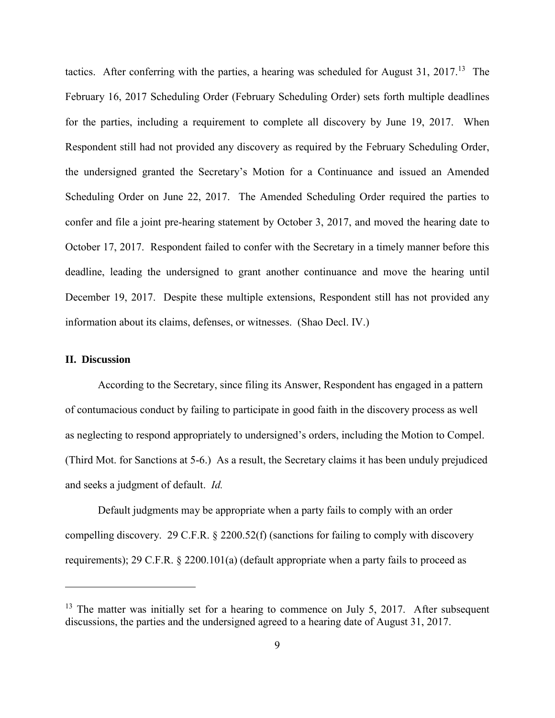tactics. After conferring with the parties, a hearing was scheduled for August 31, 2017.<sup>13</sup> The February 16, 2017 Scheduling Order (February Scheduling Order) sets forth multiple deadlines for the parties, including a requirement to complete all discovery by June 19, 2017. When Respondent still had not provided any discovery as required by the February Scheduling Order, the undersigned granted the Secretary's Motion for a Continuance and issued an Amended Scheduling Order on June 22, 2017. The Amended Scheduling Order required the parties to confer and file a joint pre-hearing statement by October 3, 2017, and moved the hearing date to October 17, 2017. Respondent failed to confer with the Secretary in a timely manner before this deadline, leading the undersigned to grant another continuance and move the hearing until December 19, 2017. Despite these multiple extensions, Respondent still has not provided any information about its claims, defenses, or witnesses. (Shao Decl. IV.)

## **II. Discussion**

 $\overline{a}$ 

According to the Secretary, since filing its Answer, Respondent has engaged in a pattern of contumacious conduct by failing to participate in good faith in the discovery process as well as neglecting to respond appropriately to undersigned's orders, including the Motion to Compel. (Third Mot. for Sanctions at 5-6.) As a result, the Secretary claims it has been unduly prejudiced and seeks a judgment of default. *Id.*

Default judgments may be appropriate when a party fails to comply with an order compelling discovery. 29 C.F.R. § 2200.52(f) (sanctions for failing to comply with discovery requirements); 29 C.F.R. § 2200.101(a) (default appropriate when a party fails to proceed as

<sup>&</sup>lt;sup>13</sup> The matter was initially set for a hearing to commence on July 5, 2017. After subsequent discussions, the parties and the undersigned agreed to a hearing date of August 31, 2017.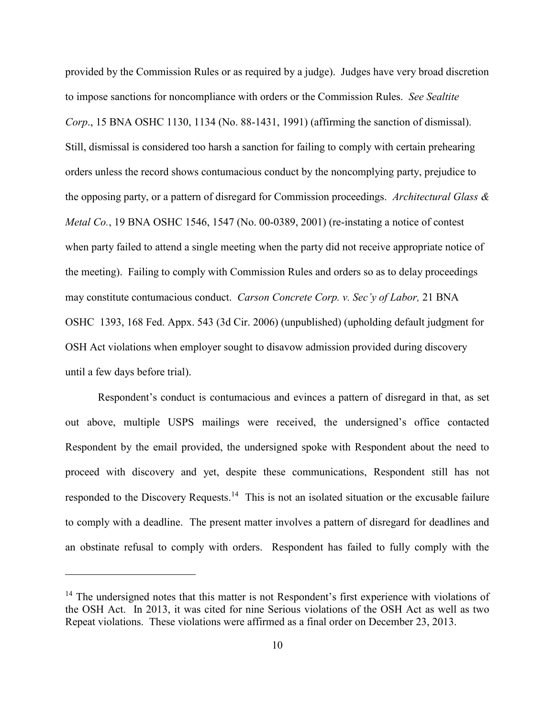provided by the Commission Rules or as required by a judge). Judges have very broad discretion to impose sanctions for noncompliance with orders or the Commission Rules. *See Sealtite Corp*., 15 BNA OSHC 1130, 1134 (No. 88-1431, 1991) (affirming the sanction of dismissal). Still, dismissal is considered too harsh a sanction for failing to comply with certain prehearing orders unless the record shows contumacious conduct by the noncomplying party, prejudice to the opposing party, or a pattern of disregard for Commission proceedings. *Architectural Glass & Metal Co.*, 19 BNA OSHC 1546, 1547 (No. 00-0389, 2001) (re-instating a notice of contest when party failed to attend a single meeting when the party did not receive appropriate notice of the meeting). Failing to comply with Commission Rules and orders so as to delay proceedings may constitute contumacious conduct. *Carson Concrete Corp. v. Sec'y of Labor,* 21 BNA OSHC 1393, 168 Fed. Appx. 543 (3d Cir. 2006) (unpublished) (upholding default judgment for OSH Act violations when employer sought to disavow admission provided during discovery until a few days before trial).

Respondent's conduct is contumacious and evinces a pattern of disregard in that, as set out above, multiple USPS mailings were received, the undersigned's office contacted Respondent by the email provided, the undersigned spoke with Respondent about the need to proceed with discovery and yet, despite these communications, Respondent still has not responded to the Discovery Requests.<sup>14</sup> This is not an isolated situation or the excusable failure to comply with a deadline. The present matter involves a pattern of disregard for deadlines and an obstinate refusal to comply with orders. Respondent has failed to fully comply with the

<sup>&</sup>lt;sup>14</sup> The undersigned notes that this matter is not Respondent's first experience with violations of the OSH Act. In 2013, it was cited for nine Serious violations of the OSH Act as well as two Repeat violations. These violations were affirmed as a final order on December 23, 2013.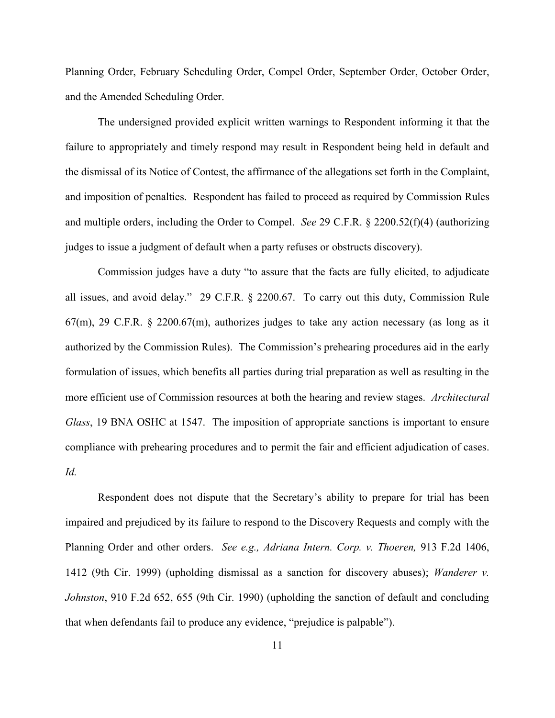Planning Order, February Scheduling Order, Compel Order, September Order, October Order, and the Amended Scheduling Order.

The undersigned provided explicit written warnings to Respondent informing it that the failure to appropriately and timely respond may result in Respondent being held in default and the dismissal of its Notice of Contest, the affirmance of the allegations set forth in the Complaint, and imposition of penalties. Respondent has failed to proceed as required by Commission Rules and multiple orders, including the Order to Compel. *See* 29 C.F.R. § 2200.52(f)(4) (authorizing judges to issue a judgment of default when a party refuses or obstructs discovery).

Commission judges have a duty "to assure that the facts are fully elicited, to adjudicate all issues, and avoid delay." 29 C.F.R. § 2200.67. To carry out this duty, Commission Rule  $67(m)$ , 29 C.F.R. § 2200.67(m), authorizes judges to take any action necessary (as long as it authorized by the Commission Rules). The Commission's prehearing procedures aid in the early formulation of issues, which benefits all parties during trial preparation as well as resulting in the more efficient use of Commission resources at both the hearing and review stages. *Architectural Glass*, 19 BNA OSHC at 1547. The imposition of appropriate sanctions is important to ensure compliance with prehearing procedures and to permit the fair and efficient adjudication of cases. *Id.* 

Respondent does not dispute that the Secretary's ability to prepare for trial has been impaired and prejudiced by its failure to respond to the Discovery Requests and comply with the Planning Order and other orders. *See e.g., Adriana Intern. Corp. v. Thoeren,* 913 F.2d 1406, 1412 (9th Cir. 1999) (upholding dismissal as a sanction for discovery abuses); *Wanderer v. Johnston*, 910 F.2d 652, 655 (9th Cir. 1990) (upholding the sanction of default and concluding that when defendants fail to produce any evidence, "prejudice is palpable").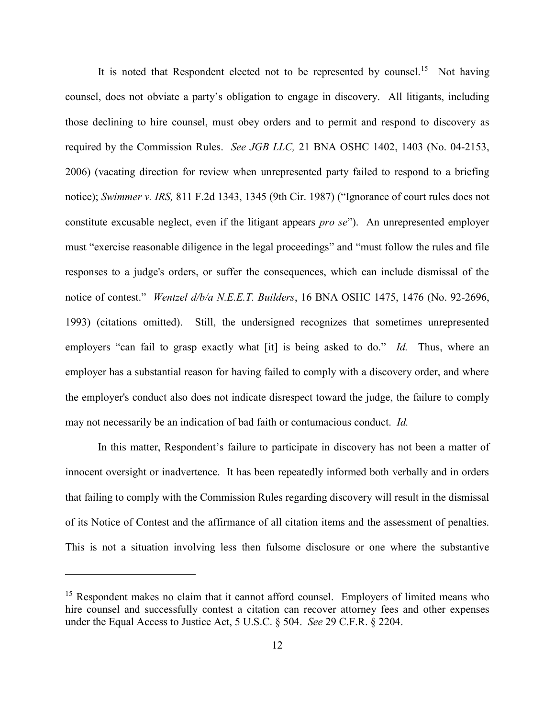It is noted that Respondent elected not to be represented by counsel.<sup>15</sup> Not having counsel, does not obviate a party's obligation to engage in discovery. All litigants, including those declining to hire counsel, must obey orders and to permit and respond to discovery as required by the Commission Rules. *See JGB LLC,* 21 BNA OSHC 1402, 1403 (No. 04-2153, 2006) (vacating direction for review when unrepresented party failed to respond to a briefing notice); *Swimmer v. IRS,* 811 F.2d 1343, 1345 (9th Cir. 1987) ("Ignorance of court rules does not constitute excusable neglect, even if the litigant appears *pro se*"). An unrepresented employer must "exercise reasonable diligence in the legal proceedings" and "must follow the rules and file responses to a judge's orders, or suffer the consequences, which can include dismissal of the notice of contest." *Wentzel d/b/a N.E.E.T. Builders*, 16 BNA OSHC 1475, 1476 (No. 92-2696, 1993) (citations omitted). Still, the undersigned recognizes that sometimes unrepresented employers "can fail to grasp exactly what [it] is being asked to do." *Id.* Thus, where an employer has a substantial reason for having failed to comply with a discovery order, and where the employer's conduct also does not indicate disrespect toward the judge, the failure to comply may not necessarily be an indication of bad faith or contumacious conduct. *Id.* 

In this matter, Respondent's failure to participate in discovery has not been a matter of innocent oversight or inadvertence. It has been repeatedly informed both verbally and in orders that failing to comply with the Commission Rules regarding discovery will result in the dismissal of its Notice of Contest and the affirmance of all citation items and the assessment of penalties. This is not a situation involving less then fulsome disclosure or one where the substantive

<sup>&</sup>lt;sup>15</sup> Respondent makes no claim that it cannot afford counsel. Employers of limited means who hire counsel and successfully contest a citation can recover attorney fees and other expenses under the Equal Access to Justice Act, 5 U.S.C. § 504. *See* 29 C.F.R. § 2204.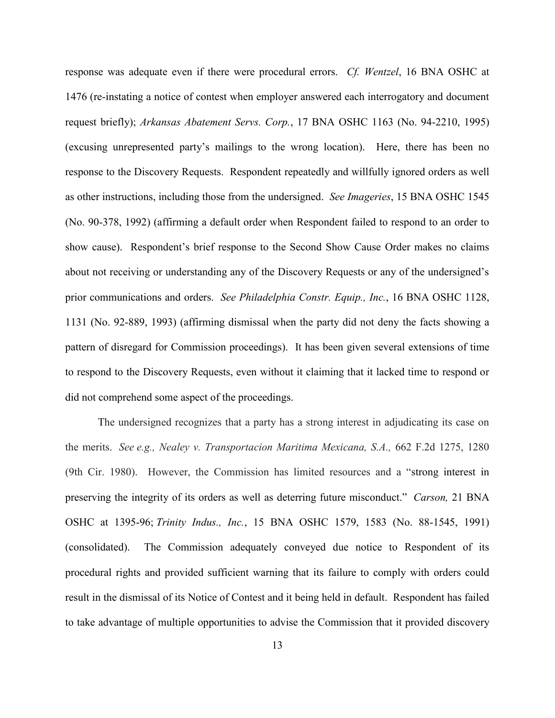response was adequate even if there were procedural errors. *Cf. Wentzel*, 16 BNA OSHC at 1476 (re-instating a notice of contest when employer answered each interrogatory and document request briefly); *Arkansas Abatement Servs. Corp.*, 17 BNA OSHC 1163 (No. 94-2210, 1995) (excusing unrepresented party's mailings to the wrong location). Here, there has been no response to the Discovery Requests. Respondent repeatedly and willfully ignored orders as well as other instructions, including those from the undersigned. *See Imageries*, 15 BNA OSHC 1545 (No. 90-378, 1992) (affirming a default order when Respondent failed to respond to an order to show cause). Respondent's brief response to the Second Show Cause Order makes no claims about not receiving or understanding any of the Discovery Requests or any of the undersigned's prior communications and orders. *See Philadelphia Constr. Equip., Inc.*, 16 BNA OSHC 1128, 1131 (No. 92-889, 1993) (affirming dismissal when the party did not deny the facts showing a pattern of disregard for Commission proceedings). It has been given several extensions of time to respond to the Discovery Requests, even without it claiming that it lacked time to respond or did not comprehend some aspect of the proceedings.

The undersigned recognizes that a party has a strong interest in adjudicating its case on the merits. *See e.g., Nealey v. Transportacion Maritima Mexicana, S.A.,* 662 F.2d 1275, 1280 (9th Cir. 1980). However, the Commission has limited resources and a "strong interest in preserving the integrity of its orders as well as deterring future misconduct." *Carson,* [21 BNA](https://1.next.westlaw.com/Link/Document/FullText?findType=Y&serNum=2008789225&pubNum=0003227&originatingDoc=I148736c710a611e7bfb79a463a4b3bc7&refType=CA&originationContext=document&transitionType=DocumentItem&contextData=(sc.Keycite))  [OSHC at 1395-96;](https://1.next.westlaw.com/Link/Document/FullText?findType=Y&serNum=2008789225&pubNum=0003227&originatingDoc=I148736c710a611e7bfb79a463a4b3bc7&refType=CA&originationContext=document&transitionType=DocumentItem&contextData=(sc.Keycite)) *Trinity Indus., Inc.*[, 15 BNA OSHC 1579, 1583 \(No. 88-1545,](https://1.next.westlaw.com/Link/Document/FullText?findType=Y&serNum=1992453603&pubNum=0003227&originatingDoc=I148736c710a611e7bfb79a463a4b3bc7&refType=CA&fi=co_pp_sp_3227_1583&originationContext=document&transitionType=DocumentItem&contextData=(sc.Keycite)#co_pp_sp_3227_1583) 1991) (consolidated). The Commission adequately conveyed due notice to Respondent of its procedural rights and provided sufficient warning that its failure to comply with orders could result in the dismissal of its Notice of Contest and it being held in default. Respondent has failed to take advantage of multiple opportunities to advise the Commission that it provided discovery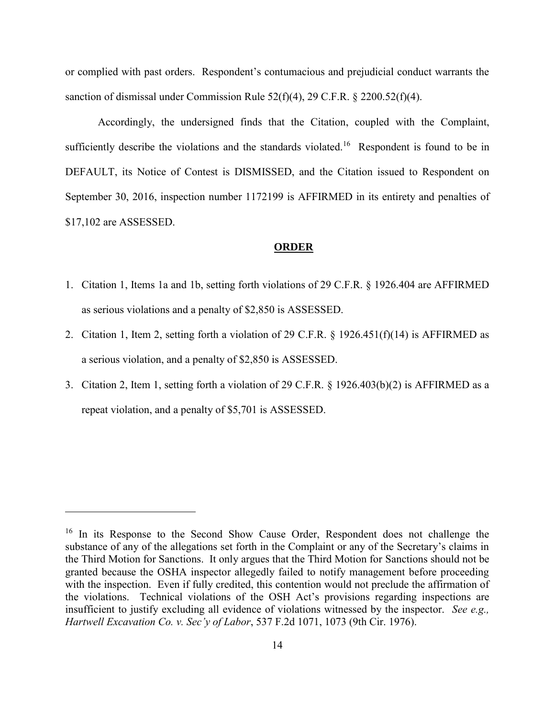or complied with past orders. Respondent's contumacious and prejudicial conduct warrants the sanction of dismissal under Commission Rule 52(f)(4), 29 C.F.R. § 2200.52(f)(4).

Accordingly, the undersigned finds that the Citation, coupled with the Complaint, sufficiently describe the violations and the standards violated.<sup>16</sup> Respondent is found to be in DEFAULT, its Notice of Contest is DISMISSED, and the Citation issued to Respondent on September 30, 2016, inspection number 1172199 is AFFIRMED in its entirety and penalties of \$17,102 are ASSESSED.

## **ORDER**

- 1. Citation 1, Items 1a and 1b, setting forth violations of 29 C.F.R. § 1926.404 are AFFIRMED as serious violations and a penalty of \$2,850 is ASSESSED.
- 2. Citation 1, Item 2, setting forth a violation of 29 C.F.R. § 1926.451(f)(14) is AFFIRMED as a serious violation, and a penalty of \$2,850 is ASSESSED.
- 3. Citation 2, Item 1, setting forth a violation of 29 C.F.R. § 1926.403(b)(2) is AFFIRMED as a repeat violation, and a penalty of \$5,701 is ASSESSED.

<sup>&</sup>lt;sup>16</sup> In its Response to the Second Show Cause Order, Respondent does not challenge the substance of any of the allegations set forth in the Complaint or any of the Secretary's claims in the Third Motion for Sanctions. It only argues that the Third Motion for Sanctions should not be granted because the OSHA inspector allegedly failed to notify management before proceeding with the inspection. Even if fully credited, this contention would not preclude the affirmation of the violations. Technical violations of the OSH Act's provisions regarding inspections are insufficient to justify excluding all evidence of violations witnessed by the inspector. *See e.g., Hartwell Excavation Co. v. Sec'y of Labor*, 537 F.2d 1071, 1073 (9th Cir. 1976).